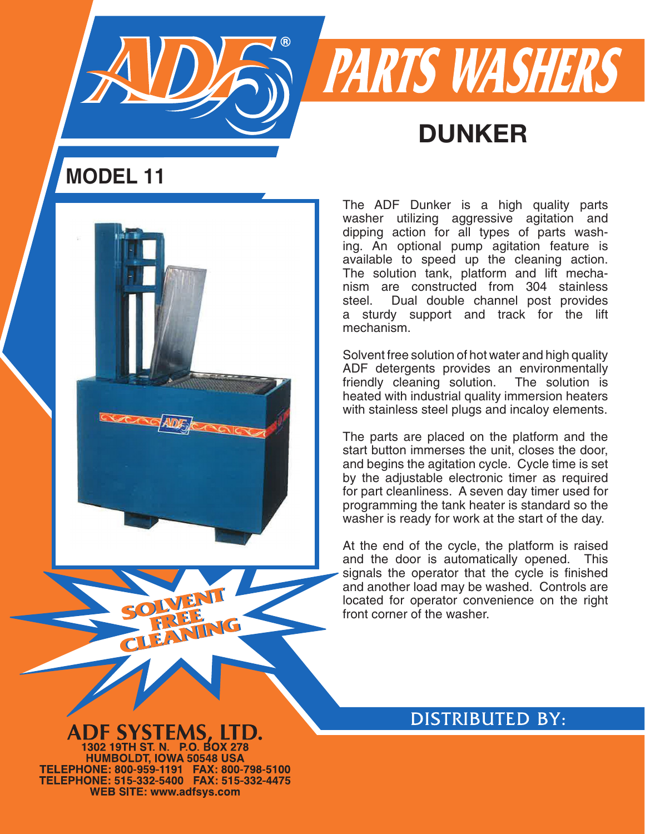

# **PARTS WASHERS**

# **DUNKER**

## **MODEL 11**



The ADF Dunker is a high quality parts washer utilizing aggressive agitation and dipping action for all types of parts washing. An optional pump agitation feature is available to speed up the cleaning action. The solution tank, platform and lift mechanism are constructed from 304 stainless steel. Dual double channel post provides a sturdy support and track for the lift mechanism.

Solvent free solution of hot water and high quality ADF detergents provides an environmentally<br>friendly cleaning solution. The solution is friendly cleaning solution. heated with industrial quality immersion heaters with stainless steel plugs and incaloy elements.

The parts are placed on the platform and the start button immerses the unit, closes the door, and begins the agitation cycle. Cycle time is set by the adjustable electronic timer as required for part cleanliness. A seven day timer used for programming the tank heater is standard so the washer is ready for work at the start of the day.

At the end of the cycle, the platform is raised and the door is automatically opened. This signals the operator that the cycle is finished and another load may be washed. Controls are located for operator convenience on the right front corner of the washer.

#### ADF SYSTEMS,

1302 19TH ST. N. P.O. BOX 278 **HUMBOLDT, IOWA 50548 USA** TELEPHONE: 800-959-1191 FAX: 800-798-5100 TELEPHONE: 515-332-5400 FAX: 515-332-4475 **WEB SITE: www.adfsys.com** 

### **DISTRIBUTED BY:**